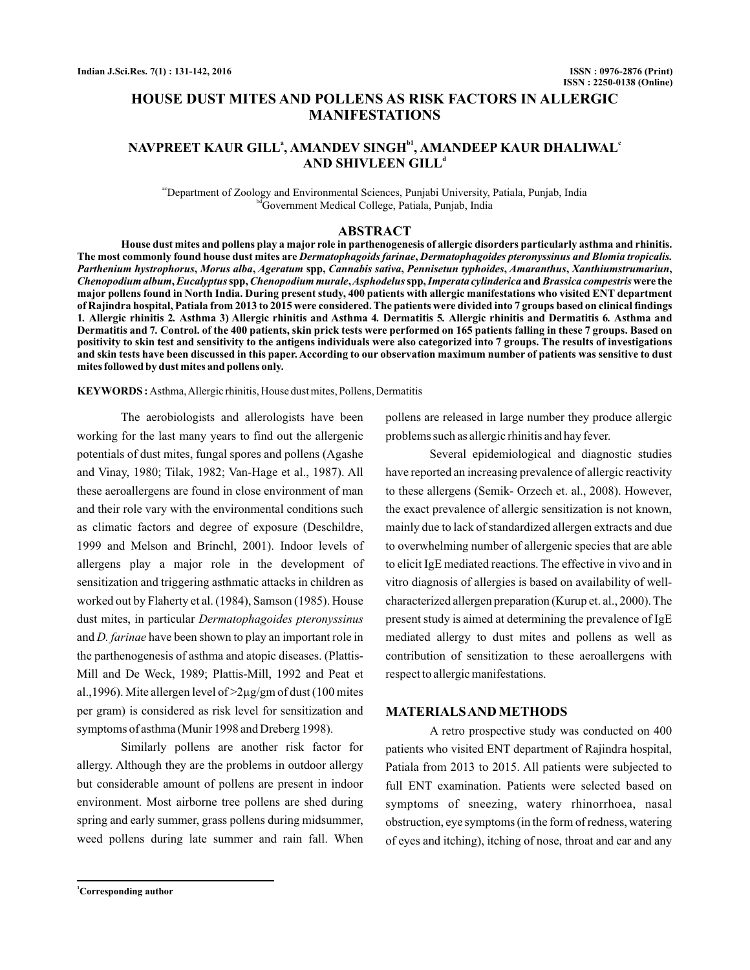# **HOUSE DUST MITES AND POLLENS AS RISK FACTORS IN ALLERGIC MANIFESTATIONS**

## <code>NAVPREET KAUR GILLª, AMANDEV SINGH $^{\text{bi}}$ , AMANDEEP KAUR DHALIWAL $^{\text{c}}$ </code> **AND SHIVLEEN GILL d**

acDepartment of Zoology and Environmental Sciences, Punjabi University, Patiala, Punjab, India bd Government Medical College, Patiala, Punjab, India

#### **ABSTRACT**

**House dust mites and pollens play a major role in parthenogenesis of allergic disorders particularly asthma and rhinitis.** The most commonly found house dust mites are *Dermatophagoids farinae, Dermatophagoides pteronyssinus and Blomia tropicalis.* Parthenium hystrophorus, Morus alba, Ageratum spp, Cannabis sativa, Pennisetun typhoides, Amaranthus, Xanthiumstrumariun, Chenopodium album, Eucalyptus spp, Chenopodium murale, Asphodelus spp, Imperata cylinderica and Brassica compestris were the **major pollens found in North India. During present study, 400 patients with allergic manifestations who visited ENT department of Rajindra hospital, Patiala from 2013 to 2015 were considered. The patients were divided into 7 groups based on clinical findings** 1. Allergic rhinitis 2. Asthma 3) Allergic rhinitis and Asthma 4. Dermatitis 5. Allergic rhinitis and Dermatitis 6. Asthma and **Dermatitis and 7 Control. of the 400 patients, skin prick tests were performed on 165 patients falling in these 7 groups. Based on** *.* **positivity to skin test and sensitivity to the antigens individuals were also categorized into 7 groups. The results of investigations and skin tests have been discussed in this paper. According to our observation maximum number of patients was sensitive to dust mites followed by dust mites and pollens only.**

**KEYWORDS :** Asthma,Allergic rhinitis, House dust mites, Pollens, Dermatitis

The aerobiologists and allerologists have been working for the last many years to find out the allergenic potentials of dust mites, fungal spores and pollens (Agashe and Vinay, 1980; Tilak, 1982; Van-Hage et al., 1987). All these aeroallergens are found in close environment of man and their role vary with the environmental conditions such as climatic factors and degree of exposure (Deschildre, 1999 and Melson and Brinchl, 2001). Indoor levels of allergens play a major role in the development of sensitization and triggering asthmatic attacks in children as worked out by Flaherty et al. (1984), Samson (1985). House dust mites, in particular *Dermatophagoides pteronyssinus* and *D. farinae* have been shown to play an important role in the parthenogenesis of asthma and atopic diseases. (Plattis-Mill and De Weck, 1989; Plattis-Mill, 1992 and Peat et al.,1996). Mite allergen level of  $>2\mu$ g/gm of dust (100 mites per gram) is considered as risk level for sensitization and symptoms of asthma (Munir 1998 and Dreberg 1998).

Similarly pollens are another risk factor for allergy. Although they are the problems in outdoor allergy but considerable amount of pollens are present in indoor environment. Most airborne tree pollens are shed during spring and early summer, grass pollens during midsummer, weed pollens during late summer and rain fall. When

pollens are released in large number they produce allergic problems such as allergic rhinitis and hay fever.

Several epidemiological and diagnostic studies have reported an increasing prevalence of allergic reactivity to these allergens (Semik- Orzech et. al., 2008). However, the exact prevalence of allergic sensitization is not known, mainly due to lack of standardized allergen extracts and due to overwhelming number of allergenic species that are able to elicit IgE mediated reactions. The effective in vivo and in vitro diagnosis of allergies is based on availability of wellcharacterized allergen preparation (Kurup et. al., 2000). The present study is aimed at determining the prevalence of IgE mediated allergy to dust mites and pollens as well as contribution of sensitization to these aeroallergens with respect to allergic manifestations.

#### **MATERIALSAND METHODS**

A retro prospective study was conducted on 400 patients who visited ENT department of Rajindra hospital, Patiala from 2013 to 2015. All patients were subjected to full ENT examination. Patients were selected based on symptoms of sneezing, watery rhinorrhoea, nasal obstruction, eye symptoms (in the form of redness, watering of eyes and itching), itching of nose, throat and ear and any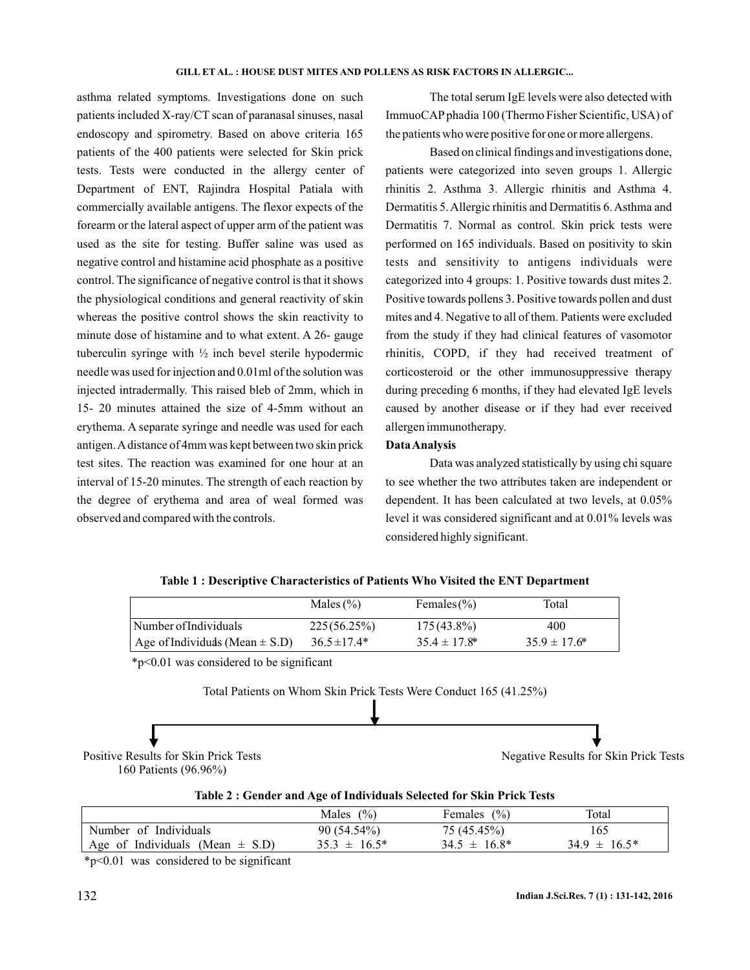asthma related symptoms. Investigations done on such patients included X-ray/CT scan of paranasal sinuses, nasal endoscopy and spirometry. Based on above criteria 165 patients of the 400 patients were selected for Skin prick tests. Tests were conducted in the allergy center of Department of ENT, Rajindra Hospital Patiala with commercially available antigens. The flexor expects of the forearm or the lateral aspect of upper arm of the patient was used as the site for testing. Buffer saline was used as negative control and histamine acid phosphate as a positive control. The significance of negative control is that it shows the physiological conditions and general reactivity of skin whereas the positive control shows the skin reactivity to minute dose of histamine and to what extent. A 26- gauge tuberculin syringe with ½ inch bevel sterile hypodermic needle was used for injection and 0.01ml of the solution was injected intradermally. This raised bleb of 2mm, which in 15- 20 minutes attained the size of 4-5mm without an erythema. A separate syringe and needle was used for each antigen.A distance of 4mm was kept between two skin prick test sites. The reaction was examined for one hour at an interval of 15-20 minutes. The strength of each reaction by the degree of erythema and area of weal formed was observed and compared with the controls.

The total serum IgE levels were also detected with ImmuoCAP phadia 100 (Thermo Fisher Scientific, USA) of the patients who were positive for one or more allergens.

Based on clinical findings and investigations done, patients were categorized into seven groups 1. Allergic rhinitis 2. Asthma 3. Allergic rhinitis and Asthma 4. Dermatitis 5. Allergic rhinitis and Dermatitis 6. Asthma and Dermatitis 7. Normal as control. Skin prick tests were performed on 165 individuals. Based on positivity to skin tests and sensitivity to antigens individuals were categorized into 4 groups: 1. Positive towards dust mites 2. Positive towards pollens 3. Positive towards pollen and dust mites and 4. Negative to all of them. Patients were excluded from the study if they had clinical features of vasomotor rhinitis, COPD, if they had received treatment of corticosteroid or the other immunosuppressive therapy during preceding 6 months, if they had elevated IgE levels caused by another disease or if they had ever received allergen immunotherapy.

#### **DataAnalysis**

Data was analyzed statistically by using chi square to see whether the two attributes taken are independent or dependent. It has been calculated at two levels, at 0.05% level it was considered significant and at 0.01% levels was considered highly significant.

|  | Table 1 : Descriptive Characteristics of Patients Who Visited the ENT Department |  |
|--|----------------------------------------------------------------------------------|--|
|--|----------------------------------------------------------------------------------|--|

|                                     | Males $(\% )$    | Females $(\% )$   | Total             |
|-------------------------------------|------------------|-------------------|-------------------|
| Number of Individuals               | 225(56.25%)      | $175(43.8\%)$     | 400               |
| Age of Individuals (Mean $\pm$ S.D) | $36.5 \pm 17.4*$ | $35.4 \pm 17.8^*$ | $35.9 \pm 17.6^*$ |

\*p<0.01 was considered to be significant



**Table 2 : Gender and Age of Individuals Selected for Skin Prick Tests**

|                                     | Males $(\% )$     | Females $(\% )$   | Total             |
|-------------------------------------|-------------------|-------------------|-------------------|
| Number of Individuals               | 90 (54.54%)       | 75 (45.45%)       | 165               |
| Age of Individuals (Mean $\pm$ S.D) | $35.3 \pm 16.5^*$ | $34.5 \pm 16.8^*$ | $34.9 \pm 16.5^*$ |

\*p<0.01 was considered to be significant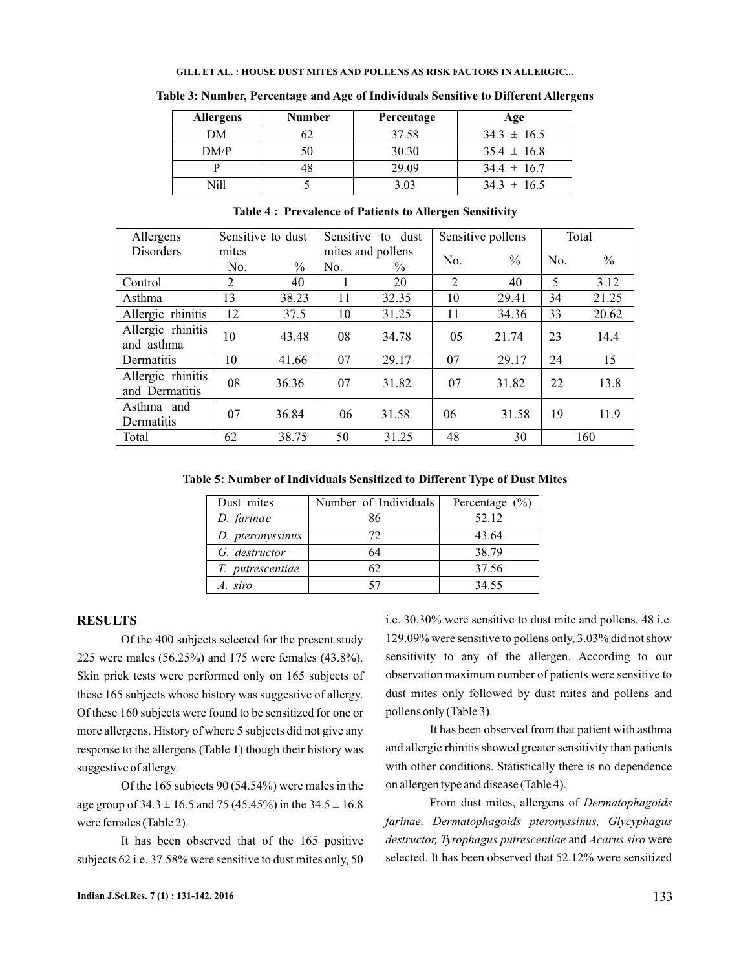| <b>Allergens</b> | <b>Number</b> | Percentage | Age             |
|------------------|---------------|------------|-----------------|
| DM               |               | 37.58      | $34.3 \pm 16.5$ |
| DM/P             |               | 30.30      | $35.4 \pm 16.8$ |
|                  |               | 29.09      | $34.4 \pm 16.7$ |
| Nill             |               | 3.03       | $34.3 \pm 16.5$ |

**Table 3: Number, Percentage and Age of Individuals Sensitive to Different Allergens**

| Allergens         | Sensitive to dust |                   | Sensitive<br>to dust |       | Sensitive pollens |               | Total |               |
|-------------------|-------------------|-------------------|----------------------|-------|-------------------|---------------|-------|---------------|
| <b>Disorders</b>  | mites             | mites and pollens |                      |       |                   |               |       |               |
|                   | No.               | $\frac{0}{0}$     | No.                  | $\%$  | No.               | $\frac{0}{0}$ | No.   | $\frac{0}{0}$ |
| Control           | $\overline{2}$    | 40                |                      | 20    | $\overline{2}$    | 40            | 5     | 3.12          |
| Asthma            | 13                | 38.23             | 11                   | 32.35 | 10                | 29.41         | 34    | 21.25         |
| Allergic rhinitis | 12                | 37.5              | 10                   | 31.25 | 11                | 34.36         | 33    | 20.62         |
| Allergic rhinitis | 10                | 43.48             | 08                   | 34.78 | 05                | 21.74         | 23    | 14.4          |
| and asthma        |                   |                   |                      |       |                   |               |       |               |
| Dermatitis        | 10                | 41.66             | 07                   | 29.17 | 07                | 29.17         | 24    | 15            |
| Allergic rhinitis | 08                | 36.36             | 07                   | 31.82 | 07                | 31.82         | 22    | 13.8          |
| and Dermatitis    |                   |                   |                      |       |                   |               |       |               |
| Asthma and        | 07                | 36.84             | 06                   | 31.58 | 06                | 31.58         | 19    | 11.9          |
| Dermatitis        |                   |                   |                      |       |                   |               |       |               |
| Total             | 62                | 38.75             | 50                   | 31.25 | 48                | 30            |       | 160           |

**Table 4 : Prevalence of Patients to Allergen Sensitivity**

**Table 5: Number of Individuals Sensitized to Different Type of Dust Mites**

| Dust mites       | Number of Individuals | Percentage $(\% )$ |
|------------------|-----------------------|--------------------|
| D. farinae       | 86                    | 52.12              |
| D. pteronyssinus | 72                    | 43.64              |
| G. destructor    | 64                    | 38.79              |
| T. putrescentiae | 52                    | 37.56              |
| A. siro          |                       | 34.55              |

### **RESULTS**

Of the 400 subjects selected for the present study 225 were males (56.25%) and 175 were females (43.8%). Skin prick tests were performed only on 165 subjects of these 165 subjects whose history was suggestive of allergy. Of these 160 subjects were found to be sensitized for one or more allergens. History of where 5 subjects did not give any response to the allergens (Table 1) though their history was suggestive of allergy.

Of the 165 subjects 90 (54.54%) were males in the age group of  $34.3 \pm 16.5$  and 75 (45.45%) in the  $34.5 \pm 16.8$ were females (Table 2).

It has been observed that of the 165 positive subjects 62 i.e. 37.58% were sensitive to dust mites only, 50 i.e. 30.30% were sensitive to dust mite and pollens, 48 i.e. 129.09% were sensitive to pollens only, 3.03% did not show sensitivity to any of the allergen. According to our observation maximum number of patients were sensitive to dust mites only followed by dust mites and pollens and pollens only (Table 3).

It has been observed from that patient with asthma and allergic rhinitis showed greater sensitivity than patients with other conditions. Statistically there is no dependence on allergen type and disease (Table 4).

From dust mites, allergens of *Dermatophagoids* destructor, Tyrophagus putrescentiae and Acarus siro were selected. It has been observed that 52.12% were sensitized *farinae, Dermatophagoids pteronyssinus, Glycyphagus*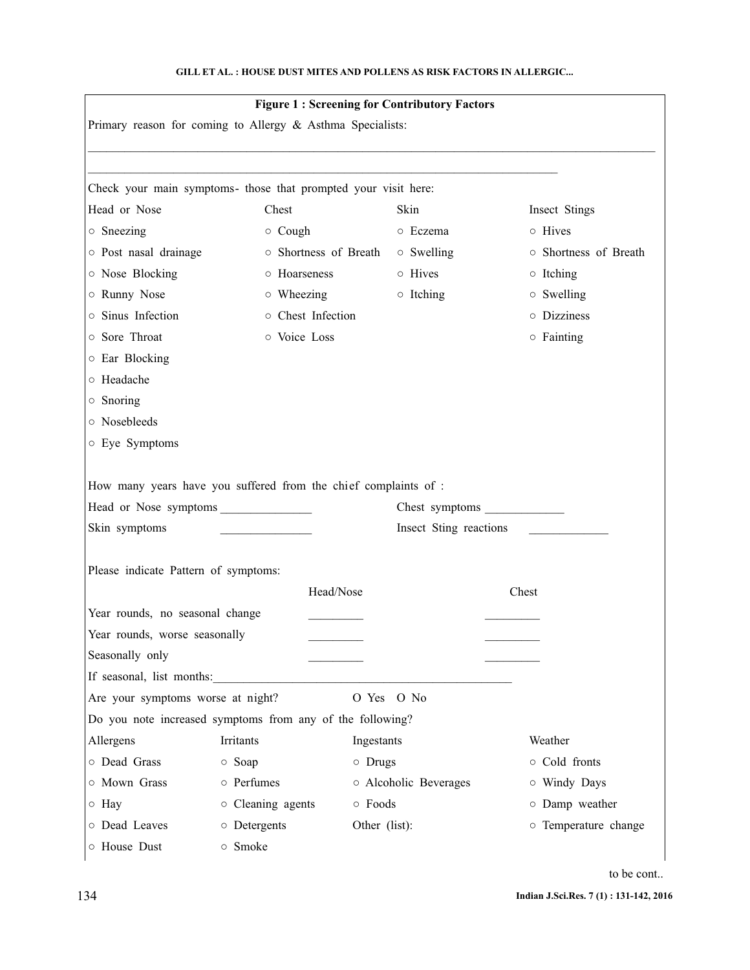|                                                                                                                                                                                   |                                                                 | <b>Figure 1: Screening for Contributory Factors</b> |                                        |  |
|-----------------------------------------------------------------------------------------------------------------------------------------------------------------------------------|-----------------------------------------------------------------|-----------------------------------------------------|----------------------------------------|--|
|                                                                                                                                                                                   | Primary reason for coming to Allergy & Asthma Specialists:      |                                                     |                                        |  |
|                                                                                                                                                                                   |                                                                 |                                                     |                                        |  |
|                                                                                                                                                                                   | Check your main symptoms- those that prompted your visit here:  |                                                     |                                        |  |
| Head or Nose                                                                                                                                                                      | Chest                                                           | Skin                                                | Insect Stings                          |  |
| $\circ$ Sneezing                                                                                                                                                                  | $\circ$ Cough                                                   | o Eczema                                            | o Hives                                |  |
| o Post nasal drainage                                                                                                                                                             | o Shortness of Breath                                           | $\circ$ Swelling                                    | o Shortness of Breath                  |  |
| o Nose Blocking                                                                                                                                                                   | o Hoarseness                                                    | o Hives                                             | $\circ$ Itching                        |  |
| o Runny Nose                                                                                                                                                                      | $\circ$ Wheezing                                                | o Itching                                           | $\circ$ Swelling                       |  |
| o Sinus Infection                                                                                                                                                                 | o Chest Infection                                               |                                                     | o Dizziness                            |  |
| o Sore Throat                                                                                                                                                                     | o Voice Loss                                                    |                                                     | $\circ$ Fainting                       |  |
| ○ Ear Blocking                                                                                                                                                                    |                                                                 |                                                     |                                        |  |
| o Headache                                                                                                                                                                        |                                                                 |                                                     |                                        |  |
| $\circ$ Snoring                                                                                                                                                                   |                                                                 |                                                     |                                        |  |
| o Nosebleeds                                                                                                                                                                      |                                                                 |                                                     |                                        |  |
| o Eye Symptoms                                                                                                                                                                    |                                                                 |                                                     |                                        |  |
|                                                                                                                                                                                   |                                                                 |                                                     |                                        |  |
|                                                                                                                                                                                   | How many years have you suffered from the chief complaints of : |                                                     |                                        |  |
| Chest symptoms<br>Head or Nose symptoms                                                                                                                                           |                                                                 |                                                     |                                        |  |
|                                                                                                                                                                                   |                                                                 |                                                     |                                        |  |
|                                                                                                                                                                                   |                                                                 | Insect Sting reactions                              |                                        |  |
|                                                                                                                                                                                   |                                                                 |                                                     |                                        |  |
|                                                                                                                                                                                   | Head/Nose                                                       |                                                     | Chest                                  |  |
|                                                                                                                                                                                   |                                                                 |                                                     |                                        |  |
|                                                                                                                                                                                   |                                                                 |                                                     |                                        |  |
|                                                                                                                                                                                   |                                                                 |                                                     |                                        |  |
|                                                                                                                                                                                   | If seasonal, list months:                                       |                                                     |                                        |  |
| Skin symptoms<br>Please indicate Pattern of symptoms:<br>Year rounds, no seasonal change<br>Year rounds, worse seasonally<br>Seasonally only<br>Are your symptoms worse at night? |                                                                 | O Yes O No                                          |                                        |  |
|                                                                                                                                                                                   | Do you note increased symptoms from any of the following?       |                                                     |                                        |  |
|                                                                                                                                                                                   | Irritants                                                       | Ingestants                                          | Weather                                |  |
|                                                                                                                                                                                   |                                                                 |                                                     | o Cold fronts                          |  |
|                                                                                                                                                                                   | ○ Soap<br>o Perfumes                                            | $\circ$ Drugs                                       |                                        |  |
| Allergens<br>o Dead Grass<br>o Mown Grass                                                                                                                                         |                                                                 | o Alcoholic Beverages                               | o Windy Days                           |  |
| o Hay<br>o Dead Leaves                                                                                                                                                            | o Cleaning agents<br>o Detergents                               | ○ Foods<br>Other (list):                            | o Damp weather<br>o Temperature change |  |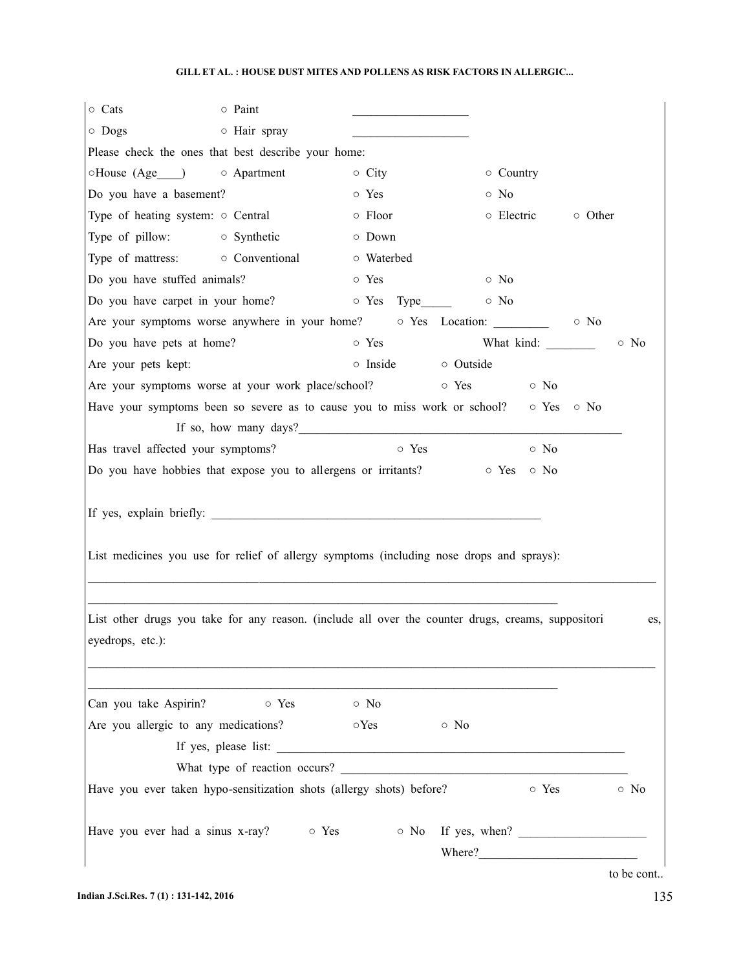| o Cats<br>$\circ$ Paint                                                                                                |                           |                           |
|------------------------------------------------------------------------------------------------------------------------|---------------------------|---------------------------|
| o Hair spray<br>$\circ$ Dogs                                                                                           |                           |                           |
| Please check the ones that best describe your home:                                                                    |                           |                           |
| ○House (Age ) ○ Apartment                                                                                              | $\circ$ City              | ○ Country                 |
| Do you have a basement?                                                                                                | o Yes                     | $\circ$ No                |
| Type of heating system: $\circ$ Central                                                                                | $\circ$ Floor             | o Electric<br>○ Other     |
| Type of pillow: $\circ$ Synthetic                                                                                      | o Down                    |                           |
| Type of mattress: $\circ$ Conventional                                                                                 | o Waterbed                |                           |
| Do you have stuffed animals?                                                                                           | o Yes                     | $\circ$ No                |
| Do you have carpet in your home?                                                                                       | $\circ$ Yes Type          | $\circ$ No                |
| Are your symptoms worse anywhere in your home?                                                                         |                           | o Yes Location: 0 No      |
| Do you have pets at home?                                                                                              | $\circ$ Yes               | $\circ$ No                |
| Are your pets kept:                                                                                                    | o Inside<br>o Outside     |                           |
| Are your symptoms worse at your work place/school?                                                                     | o Yes                     | $\circ$ No                |
| Have your symptoms been so severe as to cause you to miss work or school? $\circ$ Yes $\circ$ No                       |                           |                           |
|                                                                                                                        |                           |                           |
| Has travel affected your symptoms?                                                                                     | o Yes                     | $\circ$ No                |
| Do you have hobbies that expose you to allergens or irritants?                                                         |                           | ⊙ Yes ⊙ No                |
| List medicines you use for relief of allergy symptoms (including nose drops and sprays):                               |                           |                           |
|                                                                                                                        |                           |                           |
| List other drugs you take for any reason. (include all over the counter drugs, creams, suppositori<br>eyedrops, etc.): |                           | es,                       |
| o Yes<br>Can you take Aspirin?                                                                                         | $\circ$ No                |                           |
| Are you allergic to any medications?                                                                                   | $\circ$ Yes<br>$\circ$ No |                           |
|                                                                                                                        |                           |                           |
| What type of reaction occurs?                                                                                          |                           |                           |
| Have you ever taken hypo-sensitization shots (allergy shots) before?                                                   |                           | $\circ$ Yes<br>$\circ$ No |
| Have you ever had a sinus x-ray?<br>$\circ$ Yes                                                                        |                           | $\circ$ No If yes, when?  |

to be cont..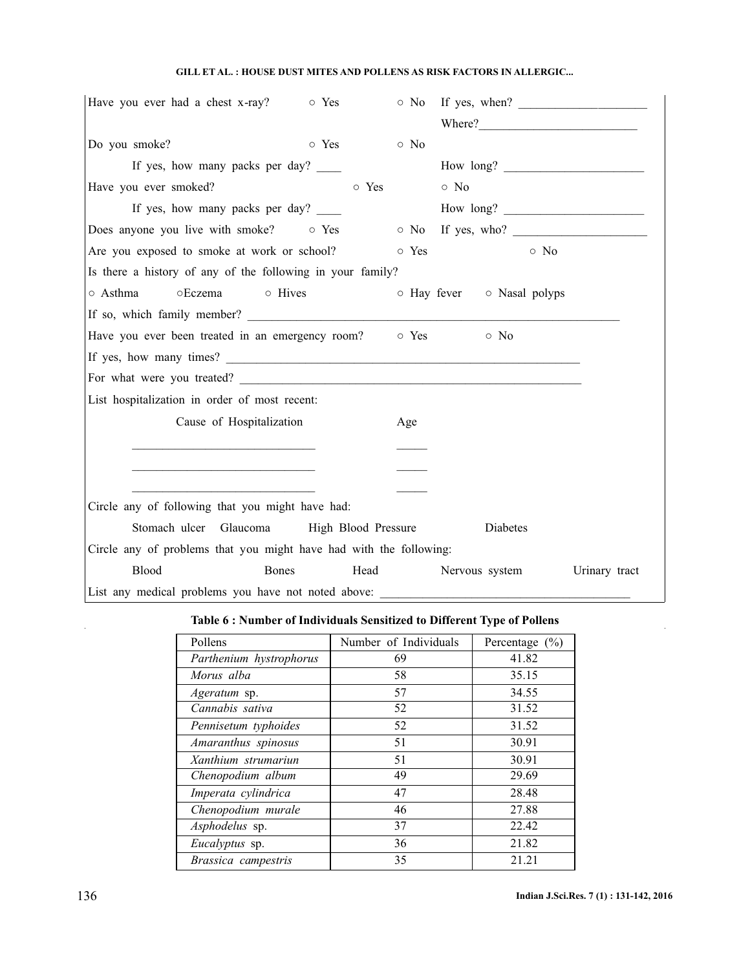| Have you ever had a chest x-ray?<br>$\circ$ Yes                      |                            |            | $\circ$ No If yes, when?   |               |
|----------------------------------------------------------------------|----------------------------|------------|----------------------------|---------------|
|                                                                      |                            |            |                            |               |
| Do you smoke?                                                        | o Yes                      | $\circ$ No |                            |               |
| If yes, how many packs per day?                                      |                            |            | How long?                  |               |
| Have you ever smoked?                                                | o Yes                      |            | $\circ$ No                 |               |
| If yes, how many packs per day? _____                                |                            |            | How long?                  |               |
| Does anyone you live with smoke? $\circ$ Yes $\circ$ No If yes, who? |                            |            |                            |               |
| Are you exposed to smoke at work or school?                          |                            | o Yes      | $\circ$ No                 |               |
| Is there a history of any of the following in your family?           |                            |            |                            |               |
| ○ Asthma<br>○Eczema<br>o Hives                                       |                            |            | o Hay fever o Nasal polyps |               |
|                                                                      |                            |            |                            |               |
| Have you ever been treated in an emergency room? o Yes o No          |                            |            |                            |               |
|                                                                      |                            |            |                            |               |
|                                                                      |                            |            |                            |               |
| List hospitalization in order of most recent:                        |                            |            |                            |               |
| Cause of Hospitalization                                             |                            | Age        |                            |               |
|                                                                      |                            |            |                            |               |
| the control of the control of the control of the control of          |                            |            |                            |               |
|                                                                      |                            |            |                            |               |
| Circle any of following that you might have had:                     |                            |            |                            |               |
| Stomach ulcer Glaucoma                                               | <b>High Blood Pressure</b> |            | Diabetes                   |               |
| Circle any of problems that you might have had with the following:   |                            |            |                            |               |
| Blood<br><b>Bones</b>                                                | Head                       |            | Nervous system             | Urinary tract |
| List any medical problems you have not noted above:                  |                            |            |                            |               |

# **Table 6 : Number of Individuals Sensitized to Different Type of Pollens**

| Pollens                 | Number of Individuals | Percentage $(\% )$ |
|-------------------------|-----------------------|--------------------|
| Parthenium hystrophorus | 69                    | 41.82              |
| Morus alba              | 58                    | 35.15              |
| Ageratum sp.            | 57                    | 34.55              |
| Cannabis sativa         | 52                    | 31.52              |
| Pennisetum typhoides    | 52                    | 31.52              |
| Amaranthus spinosus     | 51                    | 30.91              |
| Xanthium strumariun     | 51                    | 30.91              |
| Chenopodium album       | 49                    | 29.69              |
| Imperata cylindrica     | 47                    | 28.48              |
| Chenopodium murale      | 46                    | 27.88              |
| Asphodelus sp.          | 37                    | 22.42              |
| <i>Eucalyptus</i> sp.   | 36                    | 21.82              |
| Brassica campestris     | 35                    | 21.21              |

 $\hat{\mathbf{r}}$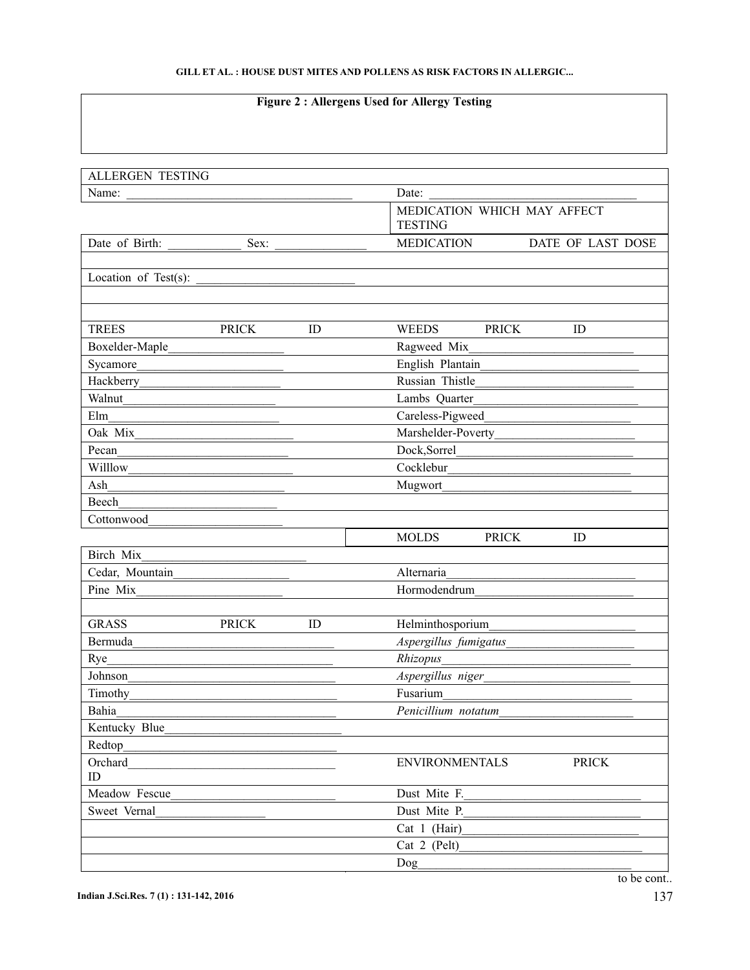# **Figure 2 : Allergens Used for Allergy Testing**

| <b>ALLERGEN TESTING</b> |              |    |                                               |
|-------------------------|--------------|----|-----------------------------------------------|
| Name:                   |              |    | Date:                                         |
|                         |              |    | MEDICATION WHICH MAY AFFECT<br><b>TESTING</b> |
| Date of Birth:          | Sex:         |    | <b>MEDICATION</b><br>DATE OF LAST DOSE        |
| Location of Test(s):    |              |    |                                               |
|                         |              |    |                                               |
|                         |              |    |                                               |
| <b>TREES</b>            | <b>PRICK</b> | ID | ID<br><b>WEEDS</b><br><b>PRICK</b>            |
| Boxelder-Maple          |              |    | Ragweed Mix                                   |
| Sycamore                |              |    | English Plantain                              |
| Hackberry               |              |    | Russian Thistle                               |
| Walnut                  |              |    | Lambs Quarter                                 |
| Elm                     |              |    | Careless-Pigweed                              |
| Oak Mix                 |              |    | Marshelder-Poverty                            |
| Pecan                   |              |    | Dock, Sorrel                                  |
| Willlow                 |              |    | Cocklebur                                     |
| Ash                     |              |    | Mugwort                                       |
| Beech                   |              |    |                                               |
| Cottonwood              |              |    |                                               |
|                         |              |    | <b>MOLDS</b><br><b>PRICK</b><br>ID            |
| Birch Mix               |              |    |                                               |
| Cedar, Mountain         |              |    | Alternaria                                    |
| Pine Mix                |              |    | Hormodendrum                                  |
|                         |              |    |                                               |
| <b>GRASS</b>            | <b>PRICK</b> | ID | Helminthosporium                              |
| Bermuda                 |              |    | Aspergillus fumigatus                         |
| Rye                     |              |    | Rhizopus                                      |
| Johnson                 |              |    | Aspergillus niger                             |
| Timothy                 |              |    | Fusarium                                      |
| Bahia                   |              |    | Penicillium notatum                           |
| Kentucky Blue           |              |    |                                               |
| Redtop                  |              |    |                                               |
| Orchard                 |              |    | <b>ENVIRONMENTALS</b><br><b>PRICK</b>         |
| ID                      |              |    |                                               |
| Meadow Fescue           |              |    | Dust Mite F.                                  |
| Sweet Vernal            |              |    | Dust Mite P.                                  |
|                         |              |    | Cat 1 (Hair)                                  |
|                         |              |    | Cat 2 (Pelt)                                  |
|                         |              |    | Dog                                           |
|                         |              |    | to be cont                                    |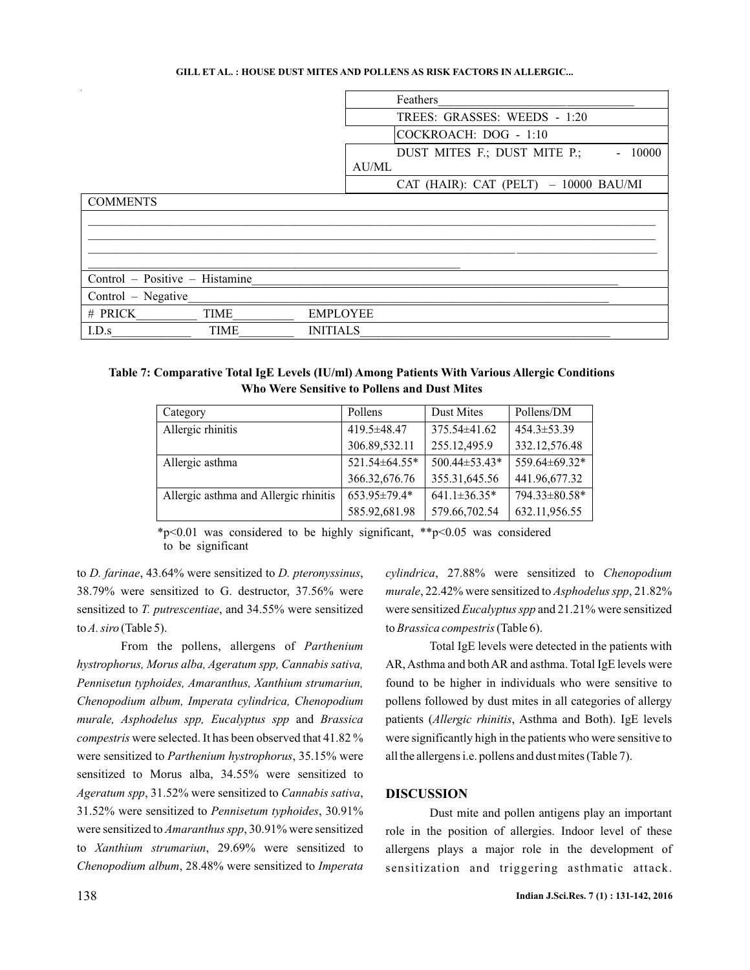|                                |             |                 |       | Feathers                               |
|--------------------------------|-------------|-----------------|-------|----------------------------------------|
|                                |             |                 |       | TREES: GRASSES: WEEDS - 1:20           |
|                                |             |                 |       | COCKROACH: DOG - 1:10                  |
|                                |             |                 |       | DUST MITES F.; DUST MITE P.;<br>10000  |
|                                |             |                 | AU/ML |                                        |
|                                |             |                 |       | CAT (HAIR): CAT (PELT) $-10000$ BAU/MI |
| COMMENTS                       |             |                 |       |                                        |
|                                |             |                 |       |                                        |
|                                |             |                 |       |                                        |
|                                |             |                 |       |                                        |
|                                |             |                 |       |                                        |
| Control - Positive - Histamine |             |                 |       |                                        |
| Control – Negative             |             |                 |       |                                        |
| # PRICK                        | <b>TIME</b> | <b>EMPLOYEE</b> |       |                                        |
| I.D.s                          | <b>TIME</b> | <b>INITIALS</b> |       |                                        |

## **Table 7: Comparative Total IgE Levels (IU/ml) Among Patients With Various Allergic Conditions Who Were Sensitive to Pollens and Dust Mites**

| Category                              | Pollens       | Dust Mites          | Pollens/DM        |
|---------------------------------------|---------------|---------------------|-------------------|
| Allergic rhinitis                     | 419.5±48.47   | $375.54\pm41.62$    | $454.3 \pm 53.39$ |
|                                       | 306.89,532.11 | 255.12,495.9        | 332.12,576.48     |
| Allergic asthma                       | 521.54±64.55* | $500.44 \pm 53.43*$ | 559.64±69.32*     |
|                                       | 366.32,676.76 | 355.31,645.56       | 441.96,677.32     |
| Allergic asthma and Allergic rhinitis | 653.95±79.4*  | $641.1 \pm 36.35*$  | 794.33±80.58*     |
|                                       | 585.92,681.98 | 579.66,702.54       | 632.11,956.55     |

\*p<0.01 was considered to be highly significant, \*\*p<0.05 was considered to be significant

to *D. farinae*, 43.64% were sensitized to *D. pteronyssinus*, 38.79% were sensitized to G. destructor, 37.56% were sensitized to *T. putrescentiae*, and 34.55% were sensitized to A. siro (Table 5).

From the pollens, allergens of *Parthenium* murale, Asphodelus spp, Eucalyptus spp and Brassica compestris were selected. It has been observed that 41.82 % were sensitized to Parthenium hystrophorus, 35.15% were sensitized to Morus alba, 34.55% were sensitized to Ageratum spp, 31.52% were sensitized to Cannabis sativa, 31.52% were sensitized to Pennisetum typhoides, 30.91% were sensitized to *Amaranthus spp*, 30.91% were sensitized to *Xanthium strumariun*, 29.69% were sensitized to Chenopodium album, 28.48% were sensitized to Imperata *hystrophorus, Morus alba, Ageratum spp, Cannabis sativa, Pennisetun typhoides, Amaranthus, Xanthium strumariun, Chenopodium album, Imperata cylindrica, Chenopodium*

cylindrica, 27.88% were sensitized to Chenopodium murale, 22.42% were sensitized to *Asphodelus spp*, 21.82% were sensitized *Eucalyptus spp* and 21.21% were sensitized to Brassica compestris (Table 6).

patients (Allergic rhinitis, Asthma and Both). IgE levels Total IgE levels were detected in the patients with AR, Asthma and both AR and asthma. Total IgE levels were found to be higher in individuals who were sensitive to pollens followed by dust mites in all categories of allergy were significantly high in the patients who were sensitive to all the allergens i.e. pollens and dust mites (Table 7).

#### **DISCUSSION**

Dust mite and pollen antigens play an important role in the position of allergies. Indoor level of these allergens plays a major role in the development of sensitization and triggering asthmatic attack.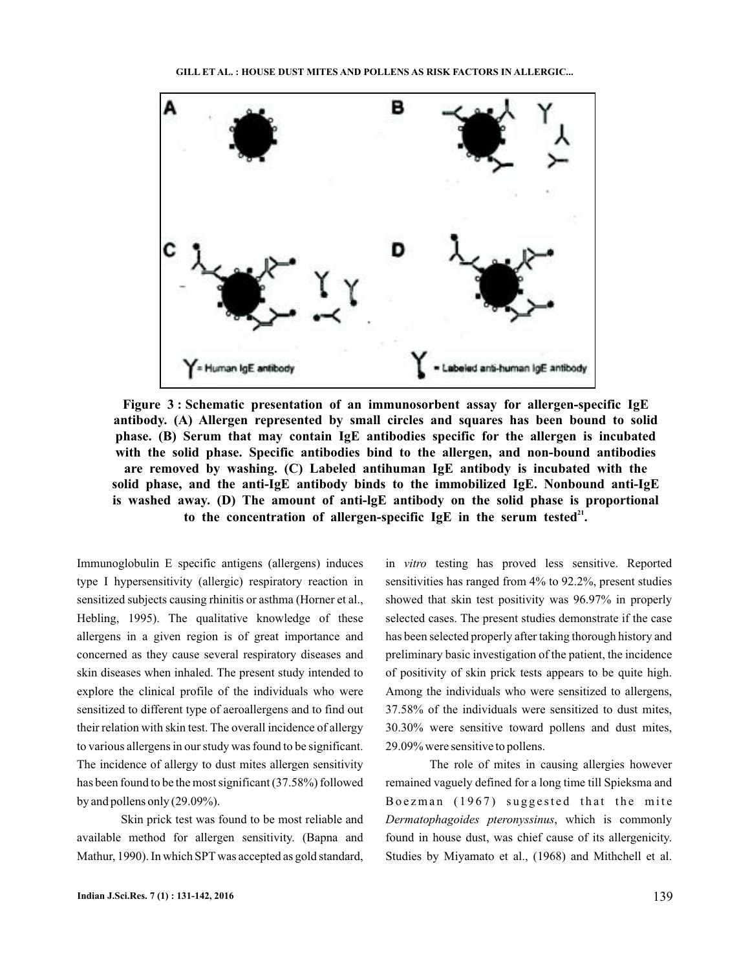

**Figure 3 : Schematic presentation of an immunosorbent assay for allergen-specific IgE antibody. (A) Allergen represented by small circles and squares has been bound to solid phase. (B) Serum that may contain IgE antibodies specific for the allergen is incubated with the solid phase. Specific antibodies bind to the allergen, and non-bound antibodies are removed by washing. (C) Labeled antihuman IgE antibody is incubated with the solid phase, and the anti-IgE antibody binds to the immobilized IgE. Nonbound anti-IgE is washed away. (D) The amount of anti-lgE antibody on the solid phase is proportional** to the concentration of allergen-specific  $IgE$  in the serum tested<sup>21</sup>.

Immunoglobulin E specific antigens (allergens) induces type I hypersensitivity (allergic) respiratory reaction in sensitized subjects causing rhinitis or asthma (Horner et al., Hebling, 1995). The qualitative knowledge of these allergens in a given region is of great importance and concerned as they cause several respiratory diseases and skin diseases when inhaled. The present study intended to explore the clinical profile of the individuals who were sensitized to different type of aeroallergens and to find out their relation with skin test. The overall incidence of allergy to various allergens in our study was found to be significant. The incidence of allergy to dust mites allergen sensitivity has been found to be the most significant (37.58%) followed by and pollens only (29.09%).

Skin prick test was found to be most reliable and available method for allergen sensitivity. (Bapna and Mathur, 1990). In which SPT was accepted as gold standard,

in vitro testing has proved less sensitive. Reported sensitivities has ranged from 4% to 92.2%, present studies showed that skin test positivity was 96.97% in properly selected cases. The present studies demonstrate if the case has been selected properly after taking thorough history and preliminary basic investigation of the patient, the incidence of positivity of skin prick tests appears to be quite high. Among the individuals who were sensitized to allergens, 37.58% of the individuals were sensitized to dust mites, 30.30% were sensitive toward pollens and dust mites, 29.09% were sensitive to pollens.

The role of mites in causing allergies however remained vaguely defined for a long time till Spieksma and Boezman (1967) suggested that the mite , which is commonly *Dermatophagoides pteronyssinus* found in house dust, was chief cause of its allergenicity. Studies by Miyamato et al., (1968) and Mithchell et al.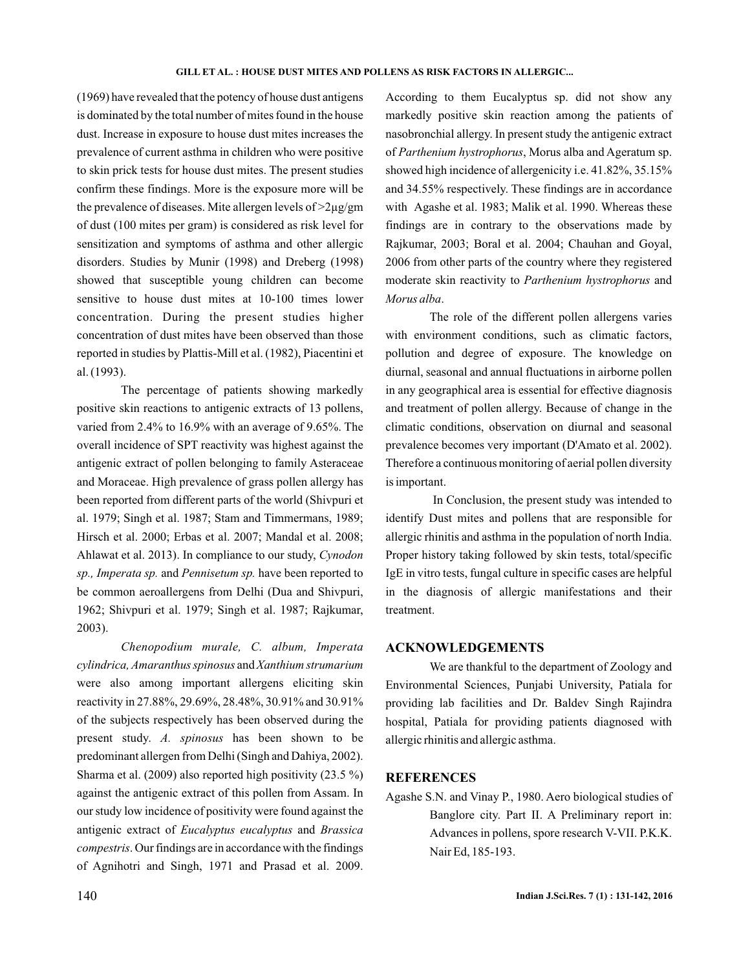(1969) have revealed that the potency of house dust antigens is dominated by the total number of mites found in the house dust. Increase in exposure to house dust mites increases the prevalence of current asthma in children who were positive to skin prick tests for house dust mites. The present studies confirm these findings. More is the exposure more will be the prevalence of diseases. Mite allergen levels of  $>2\mu$ g/gm of dust (100 mites per gram) is considered as risk level for sensitization and symptoms of asthma and other allergic disorders. Studies by Munir (1998) and Dreberg (1998) showed that susceptible young children can become sensitive to house dust mites at 10-100 times lower concentration. During the present studies higher concentration of dust mites have been observed than those reported in studies by Plattis-Mill et al. (1982), Piacentini et al. (1993).

The percentage of patients showing markedly positive skin reactions to antigenic extracts of 13 pollens, varied from 2.4% to 16.9% with an average of 9.65%. The overall incidence of SPT reactivity was highest against the antigenic extract of pollen belonging to family Asteraceae and Moraceae. High prevalence of grass pollen allergy has been reported from different parts of the world (Shivpuri et al. 1979; Singh et al. 1987; Stam and Timmermans, 1989; Hirsch et al. 2000; Erbas et al. 2007; Mandal et al. 2008; Ahlawat et al. 2013). In compliance to our study, *Cynodon* sp., Imperata sp. and Pennisetum sp. have been reported to be common aeroallergens from Delhi (Dua and Shivpuri, 1962; Shivpuri et al. 1979; Singh et al. 1987; Rajkumar, 2003).

cylindrica, Amaranthus spinosus and Xanthium strumarium were also among important allergens eliciting skin reactivity in 27.88%, 29.69%, 28.48%, 30.91% and 30.91% of the subjects respectively has been observed during the present study. A. spinosus has been shown to be predominant allergen from Delhi (Singh and Dahiya, 2002). Sharma et al. (2009) also reported high positivity (23.5 %) against the antigenic extract of this pollen from Assam. In our study low incidence of positivity were found against the antigenic extract of Eucalyptus eucalyptus and Brassica . Our findings are in accordance with the findings *compestris* of Agnihotri and Singh, 1971 and Prasad et al. 2009. *Chenopodium murale, C. album, Imperata* According to them Eucalyptus sp. did not show any markedly positive skin reaction among the patients of nasobronchial allergy. In present study the antigenic extract of Parthenium hystrophorus, Morus alba and Ageratum sp. showed high incidence of allergenicity i.e. 41.82%, 35.15% and 34.55% respectively. These findings are in accordance with Agashe et al. 1983; Malik et al. 1990. Whereas these findings are in contrary to the observations made by Rajkumar, 2003; Boral et al. 2004; Chauhan and Goyal, 2006 from other parts of the country where they registered moderate skin reactivity to Parthenium hystrophorus and . *Morus alba*

The role of the different pollen allergens varies with environment conditions, such as climatic factors, pollution and degree of exposure. The knowledge on diurnal, seasonal and annual fluctuations in airborne pollen in any geographical area is essential for effective diagnosis and treatment of pollen allergy. Because of change in the climatic conditions, observation on diurnal and seasonal prevalence becomes very important (D'Amato et al. 2002). Therefore a continuous monitoring of aerial pollen diversity is important.

In Conclusion, the present study was intended to identify Dust mites and pollens that are responsible for allergic rhinitis and asthma in the population of north India. Proper history taking followed by skin tests, total/specific IgE in vitro tests, fungal culture in specific cases are helpful in the diagnosis of allergic manifestations and their treatment.

#### **ACKNOWLEDGEMENTS**

We are thankful to the department of Zoology and Environmental Sciences, Punjabi University, Patiala for providing lab facilities and Dr. Baldev Singh Rajindra hospital, Patiala for providing patients diagnosed with allergic rhinitis and allergic asthma.

### **REFERENCES**

Agashe S.N. and Vinay P., 1980. Aero biological studies of Banglore city. Part II. A Preliminary report in: Advances in pollens, spore research V-VII. P.K.K. Nair Ed, 185-193.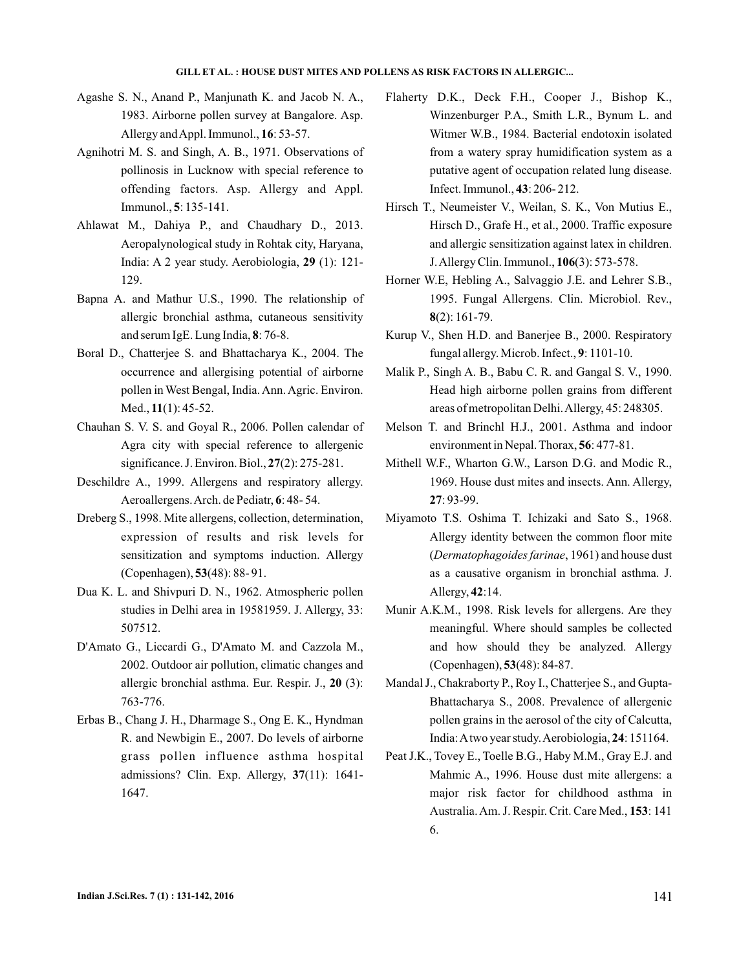- Agashe S. N., Anand P., Manjunath K. and Jacob N. A., 1983. Airborne pollen survey at Bangalore. Asp. Allergy and Appl. Immunol., 16: 53-57.
- Agnihotri M. S. and Singh, A. B., 1971. Observations of pollinosis in Lucknow with special reference to offending factors. Asp. Allergy and Appl. **Immunol.**, **5**: 135-141.
- Ahlawat M., Dahiya P., and Chaudhary D., 2013. Aeropalynological study in Rohtak city, Haryana, India: A 2 year study. Aerobiologia, 29 (1): 121-129.
- Bapna A. and Mathur U.S., 1990. The relationship of allergic bronchial asthma, cutaneous sensitivity and serum IgE. Lung India, 8:76-8.
- Boral D., Chatterjee S. and Bhattacharya K., 2004. The occurrence and allergising potential of airborne pollen in West Bengal, India. Ann. Agric. Environ. Med., 11(1): 45-52.
- Chauhan S. V. S. and Goyal R., 2006. Pollen calendar of Agra city with special reference to allergenic significance. J. Environ. Biol., 27(2): 275-281.
- Deschildre A., 1999. Allergens and respiratory allergy. Aeroallergens. Arch. de Pediatr, 6: 48-54.
- Dreberg S., 1998. Mite allergens, collection, determination, expression of results and risk levels for sensitization and symptoms induction. Allergy (Copenhagen), 53(48): 88-91.
- Dua K. L. and Shivpuri D. N., 1962. Atmospheric pollen studies in Delhi area in 19581959. J. Allergy, 33: 507512.
- D'Amato G., Liccardi G., D'Amato M. and Cazzola M., 2002. Outdoor air pollution, climatic changes and allergic bronchial asthma. Eur. Respir. J., 20 (3): 763-776.
- Erbas B., Chang J. H., Dharmage S., Ong E. K., Hyndman R. and Newbigin E., 2007. Do levels of airborne grass pollen influence asthma hospital admissions? Clin. Exp. Allergy, 37(11): 1641-1647.
- Flaherty D.K., Deck F.H., Cooper J., Bishop K., Winzenburger P.A., Smith L.R., Bynum L. and Witmer W.B., 1984. Bacterial endotoxin isolated from a watery spray humidification system as a putative agent of occupation related lung disease. Infect. Immunol., 43: 206-212.
- Hirsch T., Neumeister V., Weilan, S. K., Von Mutius E., Hirsch D., Grafe H., et al., 2000. Traffic exposure and allergic sensitization against latex in children. J. Allergy Clin. Immunol., **106**(3): 573-578.
- Horner W.E, Hebling A., Salvaggio J.E. and Lehrer S.B., 1995. Fungal Allergens. Clin. Microbiol. Rev., (2): 161-79. **8**
- Kurup V., Shen H.D. and Banerjee B., 2000. Respiratory fungal allergy. Microb. Infect., 9: 1101-10.
- Malik P., Singh A. B., Babu C. R. and Gangal S. V., 1990. Head high airborne pollen grains from different areas of metropolitan Delhi.Allergy, 45: 248305.
- Melson T. and Brinchl H.J., 2001. Asthma and indoor environment in Nepal. Thorax, 56: 477-81.
- Mithell W.F., Wharton G.W., Larson D.G. and Modic R., 1969. House dust mites and insects. Ann. Allergy, : 93-99. **27**
- Miyamoto T.S. Oshima T. Ichizaki and Sato S., 1968. Allergy identity between the common floor mite (Dermatophagoides farinae, 1961) and house dust as a causative organism in bronchial asthma. J. Allergy, 42:14.
- Munir A.K.M., 1998. Risk levels for allergens. Are they meaningful. Where should samples be collected and how should they be analyzed. Allergy (Copenhagen), 53(48): 84-87.
- Mandal J., Chakraborty P., Roy I., Chatterjee S., and Gupta-Bhattacharya S., 2008. Prevalence of allergenic pollen grains in the aerosol of the city of Calcutta, India: A two year study. Aerobiologia, 24: 151164.
- Peat J.K., Tovey E., Toelle B.G., Haby M.M., Gray E.J. and Mahmic A., 1996. House dust mite allergens: a major risk factor for childhood asthma in Australia. Am. J. Respir. Crit. Care Med., 153: 141 6.